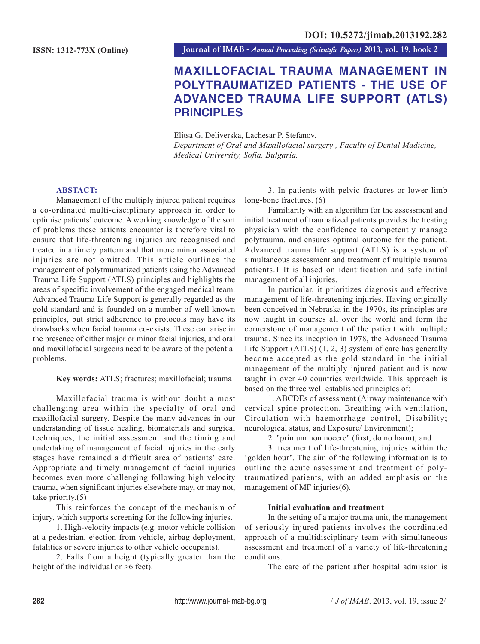**Journal of IMAB** *- Annual Proceeding (Scientific Papers)* **2013, vol. 19, book 2**

# **MAXILLOFACIAL TRAUMA MANAGEMENT IN POLYTRAUMATIZED PATIENTS - THE USE OF ADVANCED TRAUMA LIFE SUPPORT (ATLS) PRINCIPLES**

Elitsa G. Deliverska, Lachesar P. Stefanov. *Department of Oral and Maxillofacial surgery , Faculty of Dental Madicine, Medical University, Sofia, Bulgaria.*

## **ABSTACT:**

Management of the multiply injured patient requires a co-ordinated multi-disciplinary approach in order to optimise patients' outcome. A working knowledge of the sort of problems these patients encounter is therefore vital to ensure that life-threatening injuries are recognised and treated in a timely pattern and that more minor associated injuries are not omitted. This article outlines the management of polytraumatized patients using the Advanced Trauma Life Support (ATLS) principles and highlights the areas of specific involvement of the engaged medical team. Advanced Trauma Life Support is generally regarded as the gold standard and is founded on a number of well known principles, but strict adherence to protocols may have its drawbacks when facial trauma co-exists. These can arise in the presence of either major or minor facial injuries, and oral and maxillofacial surgeons need to be aware of the potential problems.

## **Key words:** ATLS; fractures; maxillofacial; trauma

Maxillofacial trauma is without doubt a most challenging area within the specialty of oral and maxillofacial surgery. Despite the many advances in our understanding of tissue healing, biomaterials and surgical techniques, the initial assessment and the timing and undertaking of management of facial injuries in the early stages have remained a difficult area of patients' care. Appropriate and timely management of facial injuries becomes even more challenging following high velocity trauma, when significant injuries elsewhere may, or may not, take priority.(5)

This reinforces the concept of the mechanism of injury, which supports screening for the following injuries.

1. High-velocity impacts (e.g. motor vehicle collision at a pedestrian, ejection from vehicle, airbag deployment, fatalities or severe injuries to other vehicle occupants).

2. Falls from a height (typically greater than the height of the individual or  $>6$  feet).

3. In patients with pelvic fractures or lower limb long-bone fractures. (6)

Familiarity with an algorithm for the assessment and initial treatment of traumatized patients provides the treating physician with the confidence to competently manage polytrauma, and ensures optimal outcome for the patient. Advanced trauma life support (ATLS) is a system of simultaneous assessment and treatment of multiple trauma patients.1 It is based on identification and safe initial management of all injuries.

In particular, it prioritizes diagnosis and effective management of life-threatening injuries. Having originally been conceived in Nebraska in the 1970s, its principles are now taught in courses all over the world and form the cornerstone of management of the patient with multiple trauma. Since its inception in 1978, the Advanced Trauma Life Support (ATLS) (1, 2, 3) system of care has generally become accepted as the gold standard in the initial management of the multiply injured patient and is now taught in over 40 countries worldwide. This approach is based on the three well established principles of:

1. ABCDEs of assessment (Airway maintenance with cervical spine protection, Breathing with ventilation, Circulation with haemorrhage control, Disability; neurological status, and Exposure/ Environment);

2. "primum non nocere" (first, do no harm); and

3. treatment of life-threatening injuries within the 'golden hour'. The aim of the following information is to outline the acute assessment and treatment of polytraumatized patients, with an added emphasis on the management of MF injuries(6).

## **Initial evaluation and treatment**

In the setting of a major trauma unit, the management of seriously injured patients involves the coordinated approach of a multidisciplinary team with simultaneous assessment and treatment of a variety of life-threatening conditions.

The care of the patient after hospital admission is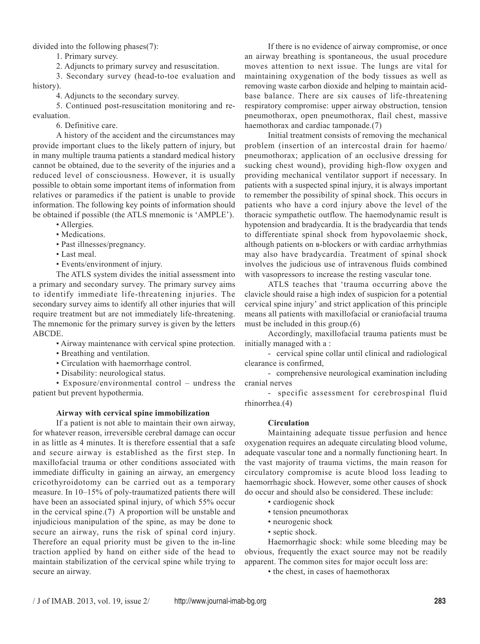divided into the following phases(7):

1. Primary survey.

2. Adjuncts to primary survey and resuscitation.

3. Secondary survey (head-to-toe evaluation and history).

4. Adjuncts to the secondary survey.

5. Continued post-resuscitation monitoring and reevaluation.

6. Definitive care.

A history of the accident and the circumstances may provide important clues to the likely pattern of injury, but in many multiple trauma patients a standard medical history cannot be obtained, due to the severity of the injuries and a reduced level of consciousness. However, it is usually possible to obtain some important items of information from relatives or paramedics if the patient is unable to provide information. The following key points of information should be obtained if possible (the ATLS mnemonic is 'AMPLE').

- Allergies.
- Medications.
- Past illnesses/pregnancy.
- Last meal.
- Events/environment of injury.

The ATLS system divides the initial assessment into a primary and secondary survey. The primary survey aims to identify immediate life-threatening injuries. The secondary survey aims to identify all other injuries that will require treatment but are not immediately life-threatening. The mnemonic for the primary survey is given by the letters ABCDE.

• Airway maintenance with cervical spine protection.

- Breathing and ventilation.
- Circulation with haemorrhage control.
- Disability: neurological status.

• Exposure/environmental control – undress the patient but prevent hypothermia.

### **Airway with cervical spine immobilization**

If a patient is not able to maintain their own airway, for whatever reason, irreversible cerebral damage can occur in as little as 4 minutes. It is therefore essential that a safe and secure airway is established as the first step. In maxillofacial trauma or other conditions associated with immediate difficulty in gaining an airway, an emergency cricothyroidotomy can be carried out as a temporary measure. In 10–15% of poly-traumatized patients there will have been an associated spinal injury, of which 55% occur in the cervical spine.(7) A proportion will be unstable and injudicious manipulation of the spine, as may be done to secure an airway, runs the risk of spinal cord injury. Therefore an equal priority must be given to the in-line traction applied by hand on either side of the head to maintain stabilization of the cervical spine while trying to secure an airway.

If there is no evidence of airway compromise, or once an airway breathing is spontaneous, the usual procedure moves attention to next issue. The lungs are vital for maintaining oxygenation of the body tissues as well as removing waste carbon dioxide and helping to maintain acidbase balance. There are six causes of life-threatening respiratory compromise: upper airway obstruction, tension pneumothorax, open pneumothorax, flail chest, massive haemothorax and cardiac tamponade.(7)

Initial treatment consists of removing the mechanical problem (insertion of an intercostal drain for haemo/ pneumothorax; application of an occlusive dressing for sucking chest wound), providing high-flow oxygen and providing mechanical ventilator support if necessary. In patients with a suspected spinal injury, it is always important to remember the possibility of spinal shock. This occurs in patients who have a cord injury above the level of the thoracic sympathetic outflow. The haemodynamic result is hypotension and bradycardia. It is the bradycardia that tends to differentiate spinal shock from hypovolaemic shock, although patients on  $B$ -blockers or with cardiac arrhythmias may also have bradycardia. Treatment of spinal shock involves the judicious use of intravenous fluids combined with vasopressors to increase the resting vascular tone.

ATLS teaches that 'trauma occurring above the clavicle should raise a high index of suspicion for a potential cervical spine injury' and strict application of this principle means all patients with maxillofacial or craniofacial trauma must be included in this group.(6)

Accordingly, maxillofacial trauma patients must be initially managed with a :

- cervical spine collar until clinical and radiological clearance is confirmed,

- comprehensive neurological examination including cranial nerves

- specific assessment for cerebrospinal fluid rhinorrhea.(4)

### **Circulation**

Maintaining adequate tissue perfusion and hence oxygenation requires an adequate circulating blood volume, adequate vascular tone and a normally functioning heart. In the vast majority of trauma victims, the main reason for circulatory compromise is acute blood loss leading to haemorrhagic shock. However, some other causes of shock do occur and should also be considered. These include:

- cardiogenic shock
- tension pneumothorax
- neurogenic shock
- septic shock.

Haemorrhagic shock: while some bleeding may be obvious, frequently the exact source may not be readily apparent. The common sites for major occult loss are:

• the chest, in cases of haemothorax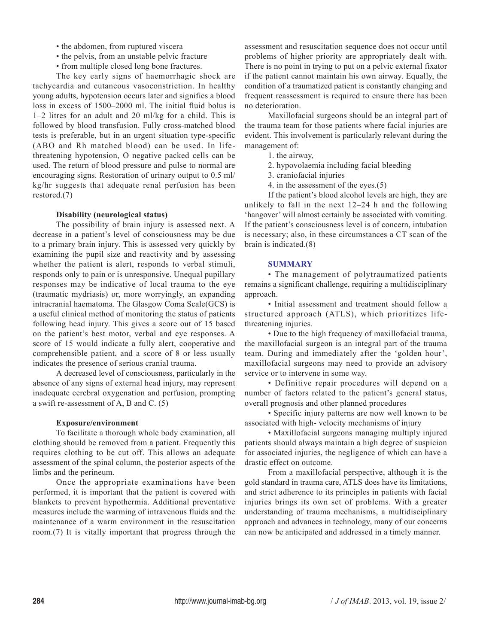- the abdomen, from ruptured viscera
- the pelvis, from an unstable pelvic fracture
- from multiple closed long bone fractures.

The key early signs of haemorrhagic shock are tachycardia and cutaneous vasoconstriction. In healthy young adults, hypotension occurs later and signifies a blood loss in excess of 1500–2000 ml. The initial fluid bolus is 1–2 litres for an adult and 20 ml/kg for a child. This is followed by blood transfusion. Fully cross-matched blood tests is preferable, but in an urgent situation type-specific (ABO and Rh matched blood) can be used. In lifethreatening hypotension, O negative packed cells can be used. The return of blood pressure and pulse to normal are encouraging signs. Restoration of urinary output to 0.5 ml/ kg/hr suggests that adequate renal perfusion has been restored.(7)

### **Disability (neurological status)**

The possibility of brain injury is assessed next. A decrease in a patient's level of consciousness may be due to a primary brain injury. This is assessed very quickly by examining the pupil size and reactivity and by assessing whether the patient is alert, responds to verbal stimuli, responds only to pain or is unresponsive. Unequal pupillary responses may be indicative of local trauma to the eye (traumatic mydriasis) or, more worryingly, an expanding intracranial haematoma. The Glasgow Coma Scale(GCS) is a useful clinical method of monitoring the status of patients following head injury. This gives a score out of 15 based on the patient's best motor, verbal and eye responses. A score of 15 would indicate a fully alert, cooperative and comprehensible patient, and a score of 8 or less usually indicates the presence of serious cranial trauma.

A decreased level of consciousness, particularly in the absence of any signs of external head injury, may represent inadequate cerebral oxygenation and perfusion, prompting a swift re-assessment of A, B and C. (5)

### **Exposure/environment**

To facilitate a thorough whole body examination, all clothing should be removed from a patient. Frequently this requires clothing to be cut off. This allows an adequate assessment of the spinal column, the posterior aspects of the limbs and the perineum.

Once the appropriate examinations have been performed, it is important that the patient is covered with blankets to prevent hypothermia. Additional preventative measures include the warming of intravenous fluids and the maintenance of a warm environment in the resuscitation room.(7) It is vitally important that progress through the

assessment and resuscitation sequence does not occur until problems of higher priority are appropriately dealt with. There is no point in trying to put on a pelvic external fixator if the patient cannot maintain his own airway. Equally, the condition of a traumatized patient is constantly changing and frequent reassessment is required to ensure there has been no deterioration.

Maxillofacial surgeons should be an integral part of the trauma team for those patients where facial injuries are evident. This involvement is particularly relevant during the management of:

- 1. the airway,
- 2. hypovolaemia including facial bleeding
- 3. craniofacial injuries
- 4. in the assessment of the eyes.(5)

If the patient's blood alcohol levels are high, they are unlikely to fall in the next 12–24 h and the following 'hangover' will almost certainly be associated with vomiting. If the patient's consciousness level is of concern, intubation is necessary; also, in these circumstances a CT scan of the brain is indicated.(8)

### **SUMMARY**

• The management of polytraumatized patients remains a significant challenge, requiring a multidisciplinary approach.

• Initial assessment and treatment should follow a structured approach (ATLS), which prioritizes lifethreatening injuries.

• Due to the high frequency of maxillofacial trauma, the maxillofacial surgeon is an integral part of the trauma team. During and immediately after the 'golden hour', maxillofacial surgeons may need to provide an advisory service or to intervene in some way.

• Definitive repair procedures will depend on a number of factors related to the patient's general status, overall prognosis and other planned procedures

• Specific injury patterns are now well known to be associated with high- velocity mechanisms of injury

• Maxillofacial surgeons managing multiply injured patients should always maintain a high degree of suspicion for associated injuries, the negligence of which can have a drastic effect on outcome.

From a maxillofacial perspective, although it is the gold standard in trauma care, ATLS does have its limitations, and strict adherence to its principles in patients with facial injuries brings its own set of problems. With a greater understanding of trauma mechanisms, a multidisciplinary approach and advances in technology, many of our concerns can now be anticipated and addressed in a timely manner.